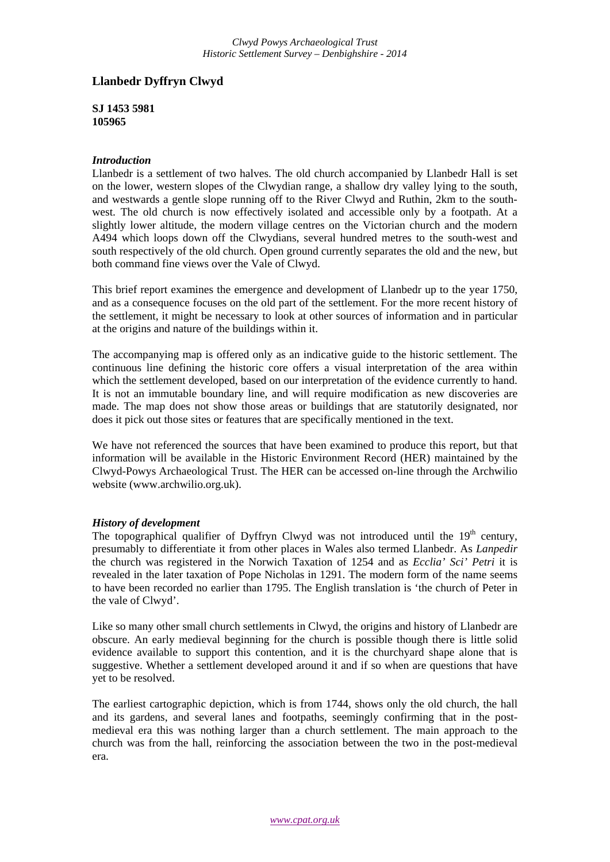# **Llanbedr Dyffryn Clwyd**

**SJ 1453 5981 105965**

### *Introduction*

Llanbedr is a settlement of two halves. The old church accompanied by Llanbedr Hall is set on the lower, western slopes of the Clwydian range, a shallow dry valley lying to the south, and westwards a gentle slope running off to the River Clwyd and Ruthin, 2km to the southwest. The old church is now effectively isolated and accessible only by a footpath. At a slightly lower altitude, the modern village centres on the Victorian church and the modern A494 which loops down off the Clwydians, several hundred metres to the south-west and south respectively of the old church. Open ground currently separates the old and the new, but both command fine views over the Vale of Clwyd.

This brief report examines the emergence and development of Llanbedr up to the year 1750, and as a consequence focuses on the old part of the settlement. For the more recent history of the settlement, it might be necessary to look at other sources of information and in particular at the origins and nature of the buildings within it.

The accompanying map is offered only as an indicative guide to the historic settlement. The continuous line defining the historic core offers a visual interpretation of the area within which the settlement developed, based on our interpretation of the evidence currently to hand. It is not an immutable boundary line, and will require modification as new discoveries are made. The map does not show those areas or buildings that are statutorily designated, nor does it pick out those sites or features that are specifically mentioned in the text.

We have not referenced the sources that have been examined to produce this report, but that information will be available in the Historic Environment Record (HER) maintained by the Clwyd-Powys Archaeological Trust. The HER can be accessed on-line through the Archwilio website (www.archwilio.org.uk).

## *History of development*

The topographical qualifier of Dyffryn Clwyd was not introduced until the  $19<sup>th</sup>$  century, presumably to differentiate it from other places in Wales also termed Llanbedr. As *Lanpedir* the church was registered in the Norwich Taxation of 1254 and as *Ecclia' Sci' Petri* it is revealed in the later taxation of Pope Nicholas in 1291. The modern form of the name seems to have been recorded no earlier than 1795. The English translation is 'the church of Peter in the vale of Clwyd'.

Like so many other small church settlements in Clwyd, the origins and history of Llanbedr are obscure. An early medieval beginning for the church is possible though there is little solid evidence available to support this contention, and it is the churchyard shape alone that is suggestive. Whether a settlement developed around it and if so when are questions that have yet to be resolved.

The earliest cartographic depiction, which is from 1744, shows only the old church, the hall and its gardens, and several lanes and footpaths, seemingly confirming that in the postmedieval era this was nothing larger than a church settlement. The main approach to the church was from the hall, reinforcing the association between the two in the post-medieval era.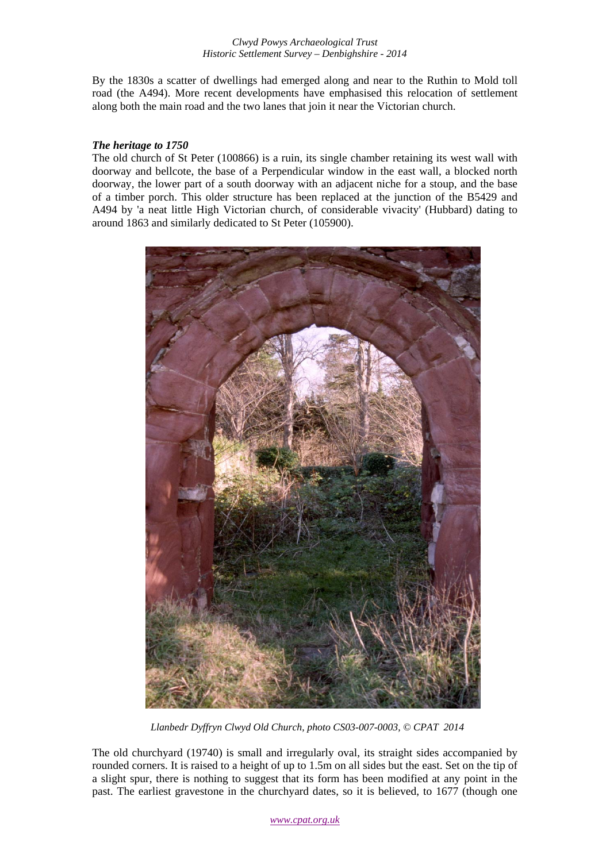By the 1830s a scatter of dwellings had emerged along and near to the Ruthin to Mold toll road (the A494). More recent developments have emphasised this relocation of settlement along both the main road and the two lanes that join it near the Victorian church.

#### *The heritage to 1750*

The old church of St Peter (100866) is a ruin, its single chamber retaining its west wall with doorway and bellcote, the base of a Perpendicular window in the east wall, a blocked north doorway, the lower part of a south doorway with an adjacent niche for a stoup, and the base of a timber porch. This older structure has been replaced at the junction of the B5429 and A494 by 'a neat little High Victorian church, of considerable vivacity' (Hubbard) dating to around 1863 and similarly dedicated to St Peter (105900).



 *Llanbedr Dyffryn Clwyd Old Church, photo CS03-007-0003, © CPAT 2014* 

The old churchyard (19740) is small and irregularly oval, its straight sides accompanied by rounded corners. It is raised to a height of up to 1.5m on all sides but the east. Set on the tip of a slight spur, there is nothing to suggest that its form has been modified at any point in the past. The earliest gravestone in the churchyard dates, so it is believed, to 1677 (though one